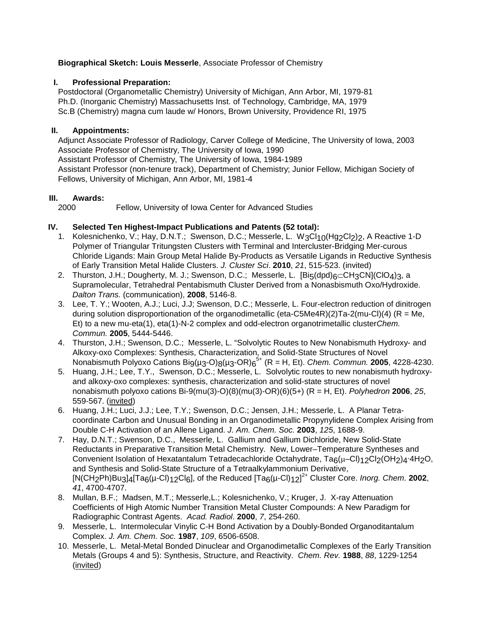#### **Biographical Sketch: Louis Messerle**, Associate Professor of Chemistry

### **I. Professional Preparation:**

Postdoctoral (Organometallic Chemistry) University of Michigan, Ann Arbor, MI, 1979-81 Ph.D. (Inorganic Chemistry) Massachusetts Inst. of Technology, Cambridge, MA, 1979 Sc.B (Chemistry) magna cum laude w/ Honors, Brown University, Providence RI, 1975

# **II. Appointments:**

Adjunct Associate Professor of Radiology, Carver College of Medicine, The University of Iowa, 2003 Associate Professor of Chemistry, The University of Iowa, 1990 Assistant Professor of Chemistry, The University of Iowa, 1984-1989 Assistant Professor (non-tenure track), Department of Chemistry; Junior Fellow, Michigan Society of Fellows, University of Michigan, Ann Arbor, MI, 1981-4

# **III. Awards:**

Fellow, University of Iowa Center for Advanced Studies

# **IV. Selected Ten Highest-Impact Publications and Patents (52 total):**

- 1. Kolesnichenko, V.; Hay, D.N.T.; Swenson, D.C.; Messerle, L. W3Cl10(Hg2Cl2)2, A Reactive 1-D Polymer of Triangular Tritungsten Clusters with Terminal and Intercluster-Bridging Mer-curous Chloride Ligands: Main Group Metal Halide By-Products as Versatile Ligands in Reductive Synthesis of Early Transition Metal Halide Clusters. *J. Cluster Sci*. **2010**, *21*, 515-523. (invited)
- 2. Thurston, J.H.; Dougherty, M. J.; Swenson, D.C.; Messerle, L. [Bi<sub>5</sub>(dpd)<sub>6</sub>⊂CH<sub>3</sub>CN](ClO<sub>4</sub>)<sub>3</sub>, a Supramolecular, Tetrahedral Pentabismuth Cluster Derived from a Nonasbismuth Oxo/Hydroxide. *Dalton Trans.* (communication), **2008**, 5146-8.
- 3. Lee, T. Y.; Wooten, A.J.; Luci, J.J; Swenson, D.C.; Messerle, L. Four-electron reduction of dinitrogen during solution disproportionation of the organodimetallic (eta-C5Me4R)(2)Ta-2(mu-Cl)(4) ( $R = Me$ , Et) to a new mu-eta(1), eta(1)-N-2 complex and odd-electron organotrimetallic cluster*Chem. Commun.* **2005**, 5444-5446.
- 4. Thurston, J.H.; Swenson, D.C.; Messerle, L. "Solvolytic Routes to New Nonabismuth Hydroxy- and Alkoxy-oxo Complexes: Synthesis, Characterization, and Solid-State Structures of Novel Nonabismuth Polyoxo Cations Bi9(µ3-O)8(µ3-OR)6 5+ (R = H, Et). *Chem. Commun.* **2005**, 4228-4230.
- 5. Huang, J.H.; Lee, T.Y., Swenson, D.C.; Messerle, L. Solvolytic routes to new nonabismuth hydroxyand alkoxy-oxo complexes: synthesis, characterization and solid-state structures of novel nonabismuth polyoxo cations Bi-9(mu(3)-O)(8)(mu(3)-OR)(6)(5+) (R = H, Et). *Polyhedron* **2006**, *25*, 559-567. (invited)
- 6. Huang, J.H.; Luci, J.J.; Lee, T.Y.; Swenson, D.C.; Jensen, J.H.; Messerle, L. A Planar Tetracoordinate Carbon and Unusual Bonding in an Organodimetallic Propynylidene Complex Arising from Double C-H Activation of an Allene Ligand. *J. Am. Chem. Soc.* **2003**, *125*, 1688-9.
- 7. Hay, D.N.T.; Swenson, D.C., Messerle, L. Gallium and Gallium Dichloride, New Solid-State Reductants in Preparative Transition Metal Chemistry. New, Lower–Temperature Syntheses and Convenient Isolation of Hexatantalum Tetradecachloride Octahydrate, Ta<sub>6</sub>(µ-Cl)<sub>12</sub>Cl<sub>2</sub>(OH<sub>2</sub>)<sub>4</sub>.4H<sub>2</sub>O, and Synthesis and Solid-State Structure of a Tetraalkylammonium Derivative, [N(CH2Ph)Bu3]4[Ta6(µ-Cl)12Cl6], of the Reduced [Ta6(µ-Cl)12] 2+ Cluster Core. *Inorg. Chem.* **2002**, *41*, 4700-4707.
- 8. Mullan, B.F.; Madsen, M.T.; Messerle,L.; Kolesnichenko, V.; Kruger, J. X-ray Attenuation Coefficients of High Atomic Number Transition Metal Cluster Compounds: A New Paradigm for Radiographic Contrast Agents. *Acad. Radiol*. **2000**, *7*, 254-260.
- 9. Messerle, L. Intermolecular Vinylic C-H Bond Activation by a Doubly-Bonded Organoditantalum Complex. *J. Am. Chem. Soc.* **1987**, *109*, 6506-6508.
- 10. Messerle, L. Metal-Metal Bonded Dinuclear and Organodimetallic Complexes of the Early Transition Metals (Groups 4 and 5): Synthesis, Structure, and Reactivity. *Chem. Rev.* **1988**, *88*, 1229-1254 (invited)